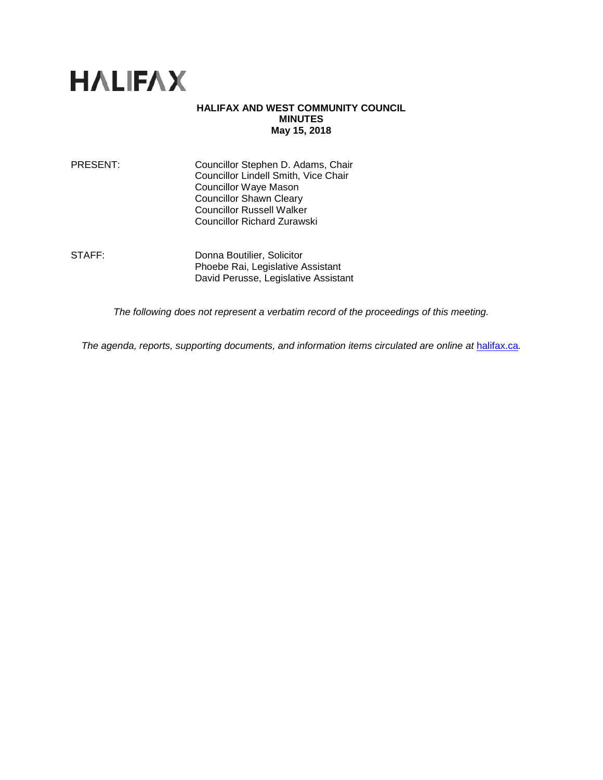

#### **HALIFAX AND WEST COMMUNITY COUNCIL MINUTES May 15, 2018**

| PRESENT: | Councillor Stephen D. Adams, Chair   |
|----------|--------------------------------------|
|          | Councillor Lindell Smith, Vice Chair |
|          | <b>Councillor Waye Mason</b>         |
|          | <b>Councillor Shawn Cleary</b>       |
|          | <b>Councillor Russell Walker</b>     |
|          | <b>Councillor Richard Zurawski</b>   |
|          |                                      |

STAFF: Donna Boutilier, Solicitor Phoebe Rai, Legislative Assistant David Perusse, Legislative Assistant

*The following does not represent a verbatim record of the proceedings of this meeting.*

*The agenda, reports, supporting documents, and information items circulated are online at [halifax.ca](http://www.halifax.ca/).*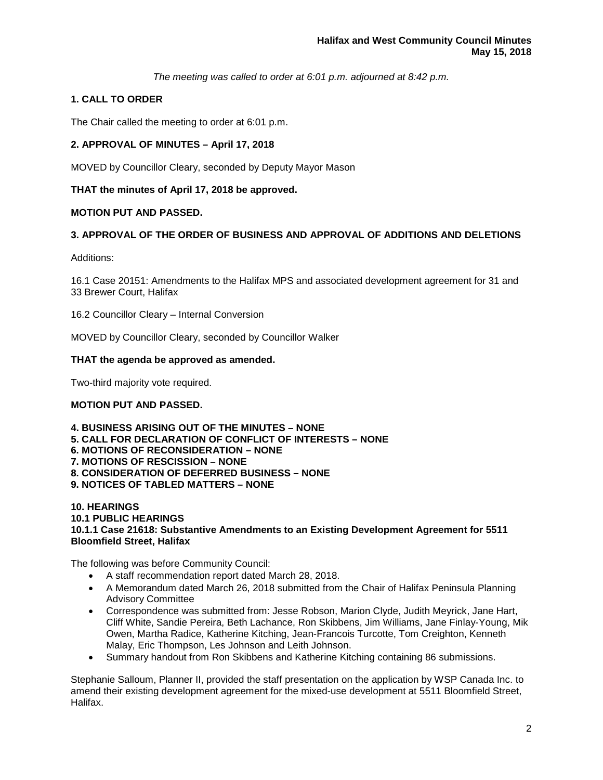*The meeting was called to order at 6:01 p.m. adjourned at 8:42 p.m.*

# **1. CALL TO ORDER**

The Chair called the meeting to order at 6:01 p.m.

## **2. APPROVAL OF MINUTES – April 17, 2018**

MOVED by Councillor Cleary, seconded by Deputy Mayor Mason

### **THAT the minutes of April 17, 2018 be approved.**

### **MOTION PUT AND PASSED.**

### **3. APPROVAL OF THE ORDER OF BUSINESS AND APPROVAL OF ADDITIONS AND DELETIONS**

Additions:

16.1 Case 20151: Amendments to the Halifax MPS and associated development agreement for 31 and 33 Brewer Court, Halifax

16.2 Councillor Cleary – Internal Conversion

MOVED by Councillor Cleary, seconded by Councillor Walker

#### **THAT the agenda be approved as amended.**

Two-third majority vote required.

#### **MOTION PUT AND PASSED.**

**4. BUSINESS ARISING OUT OF THE MINUTES – NONE 5. CALL FOR DECLARATION OF CONFLICT OF INTERESTS – NONE 6. MOTIONS OF RECONSIDERATION – NONE 7. MOTIONS OF RESCISSION – NONE 8. CONSIDERATION OF DEFERRED BUSINESS – NONE 9. NOTICES OF TABLED MATTERS – NONE**

#### **10. HEARINGS 10.1 PUBLIC HEARINGS 10.1.1 Case 21618: Substantive Amendments to an Existing Development Agreement for 5511 Bloomfield Street, Halifax**

The following was before Community Council:

- A staff recommendation report dated March 28, 2018.
- A Memorandum dated March 26, 2018 submitted from the Chair of Halifax Peninsula Planning Advisory Committee
- Correspondence was submitted from: Jesse Robson, Marion Clyde, Judith Meyrick, Jane Hart, Cliff White, Sandie Pereira, Beth Lachance, Ron Skibbens, Jim Williams, Jane Finlay-Young, Mik Owen, Martha Radice, Katherine Kitching, Jean-Francois Turcotte, Tom Creighton, Kenneth Malay, Eric Thompson, Les Johnson and Leith Johnson.
- Summary handout from Ron Skibbens and Katherine Kitching containing 86 submissions.

Stephanie Salloum, Planner II, provided the staff presentation on the application by WSP Canada Inc. to amend their existing development agreement for the mixed-use development at 5511 Bloomfield Street, Halifax.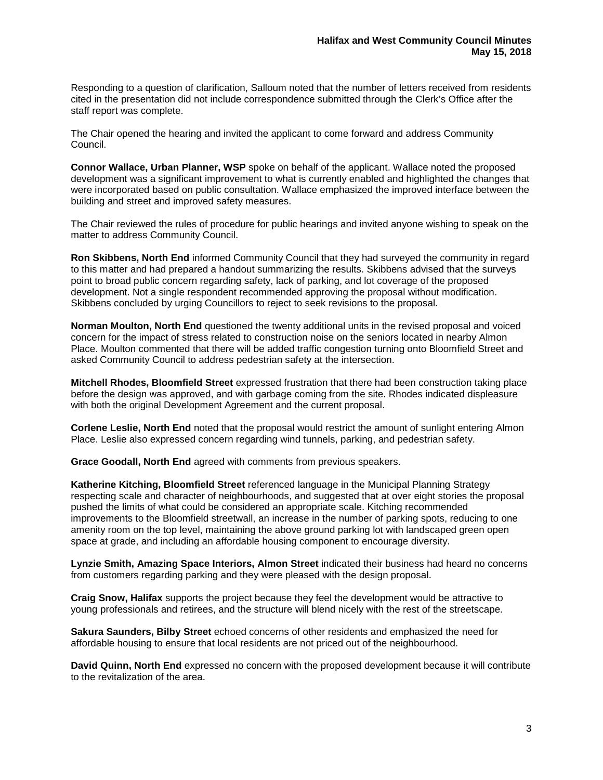Responding to a question of clarification, Salloum noted that the number of letters received from residents cited in the presentation did not include correspondence submitted through the Clerk's Office after the staff report was complete.

The Chair opened the hearing and invited the applicant to come forward and address Community Council.

**Connor Wallace, Urban Planner, WSP** spoke on behalf of the applicant. Wallace noted the proposed development was a significant improvement to what is currently enabled and highlighted the changes that were incorporated based on public consultation. Wallace emphasized the improved interface between the building and street and improved safety measures.

The Chair reviewed the rules of procedure for public hearings and invited anyone wishing to speak on the matter to address Community Council.

**Ron Skibbens, North End** informed Community Council that they had surveyed the community in regard to this matter and had prepared a handout summarizing the results. Skibbens advised that the surveys point to broad public concern regarding safety, lack of parking, and lot coverage of the proposed development. Not a single respondent recommended approving the proposal without modification. Skibbens concluded by urging Councillors to reject to seek revisions to the proposal.

**Norman Moulton, North End** questioned the twenty additional units in the revised proposal and voiced concern for the impact of stress related to construction noise on the seniors located in nearby Almon Place. Moulton commented that there will be added traffic congestion turning onto Bloomfield Street and asked Community Council to address pedestrian safety at the intersection.

**Mitchell Rhodes, Bloomfield Street** expressed frustration that there had been construction taking place before the design was approved, and with garbage coming from the site. Rhodes indicated displeasure with both the original Development Agreement and the current proposal.

**Corlene Leslie, North End** noted that the proposal would restrict the amount of sunlight entering Almon Place. Leslie also expressed concern regarding wind tunnels, parking, and pedestrian safety.

**Grace Goodall, North End** agreed with comments from previous speakers.

**Katherine Kitching, Bloomfield Street** referenced language in the Municipal Planning Strategy respecting scale and character of neighbourhoods, and suggested that at over eight stories the proposal pushed the limits of what could be considered an appropriate scale. Kitching recommended improvements to the Bloomfield streetwall, an increase in the number of parking spots, reducing to one amenity room on the top level, maintaining the above ground parking lot with landscaped green open space at grade, and including an affordable housing component to encourage diversity.

**Lynzie Smith, Amazing Space Interiors, Almon Street** indicated their business had heard no concerns from customers regarding parking and they were pleased with the design proposal.

**Craig Snow, Halifax** supports the project because they feel the development would be attractive to young professionals and retirees, and the structure will blend nicely with the rest of the streetscape.

**Sakura Saunders, Bilby Street** echoed concerns of other residents and emphasized the need for affordable housing to ensure that local residents are not priced out of the neighbourhood.

**David Quinn, North End** expressed no concern with the proposed development because it will contribute to the revitalization of the area.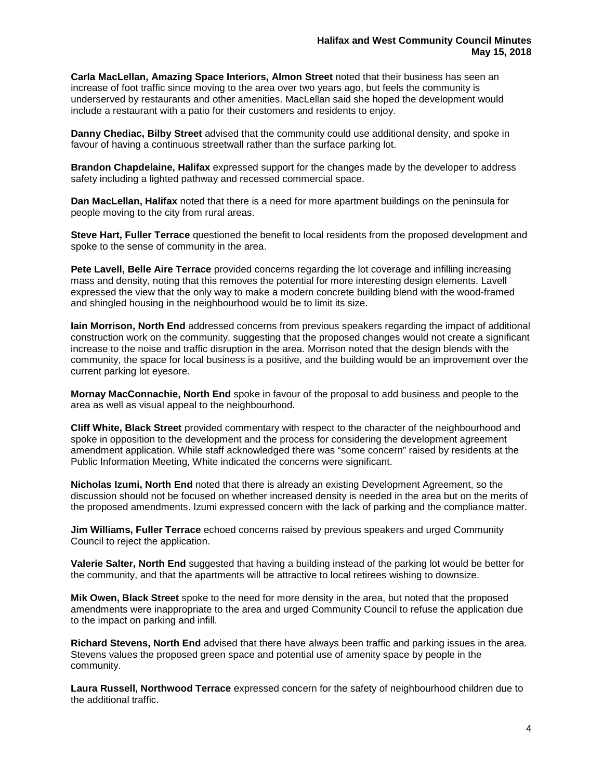**Carla MacLellan, Amazing Space Interiors, Almon Street** noted that their business has seen an increase of foot traffic since moving to the area over two years ago, but feels the community is underserved by restaurants and other amenities. MacLellan said she hoped the development would include a restaurant with a patio for their customers and residents to enjoy.

**Danny Chediac, Bilby Street** advised that the community could use additional density, and spoke in favour of having a continuous streetwall rather than the surface parking lot.

**Brandon Chapdelaine, Halifax** expressed support for the changes made by the developer to address safety including a lighted pathway and recessed commercial space.

**Dan MacLellan, Halifax** noted that there is a need for more apartment buildings on the peninsula for people moving to the city from rural areas.

**Steve Hart, Fuller Terrace** questioned the benefit to local residents from the proposed development and spoke to the sense of community in the area.

**Pete Lavell, Belle Aire Terrace** provided concerns regarding the lot coverage and infilling increasing mass and density, noting that this removes the potential for more interesting design elements. Lavell expressed the view that the only way to make a modern concrete building blend with the wood-framed and shingled housing in the neighbourhood would be to limit its size.

**Iain Morrison, North End** addressed concerns from previous speakers regarding the impact of additional construction work on the community, suggesting that the proposed changes would not create a significant increase to the noise and traffic disruption in the area. Morrison noted that the design blends with the community, the space for local business is a positive, and the building would be an improvement over the current parking lot eyesore.

**Mornay MacConnachie, North End** spoke in favour of the proposal to add business and people to the area as well as visual appeal to the neighbourhood.

**Cliff White, Black Street** provided commentary with respect to the character of the neighbourhood and spoke in opposition to the development and the process for considering the development agreement amendment application. While staff acknowledged there was "some concern" raised by residents at the Public Information Meeting, White indicated the concerns were significant.

**Nicholas Izumi, North End** noted that there is already an existing Development Agreement, so the discussion should not be focused on whether increased density is needed in the area but on the merits of the proposed amendments. Izumi expressed concern with the lack of parking and the compliance matter.

**Jim Williams, Fuller Terrace** echoed concerns raised by previous speakers and urged Community Council to reject the application.

**Valerie Salter, North End** suggested that having a building instead of the parking lot would be better for the community, and that the apartments will be attractive to local retirees wishing to downsize.

**Mik Owen, Black Street** spoke to the need for more density in the area, but noted that the proposed amendments were inappropriate to the area and urged Community Council to refuse the application due to the impact on parking and infill.

**Richard Stevens, North End** advised that there have always been traffic and parking issues in the area. Stevens values the proposed green space and potential use of amenity space by people in the community.

**Laura Russell, Northwood Terrace** expressed concern for the safety of neighbourhood children due to the additional traffic.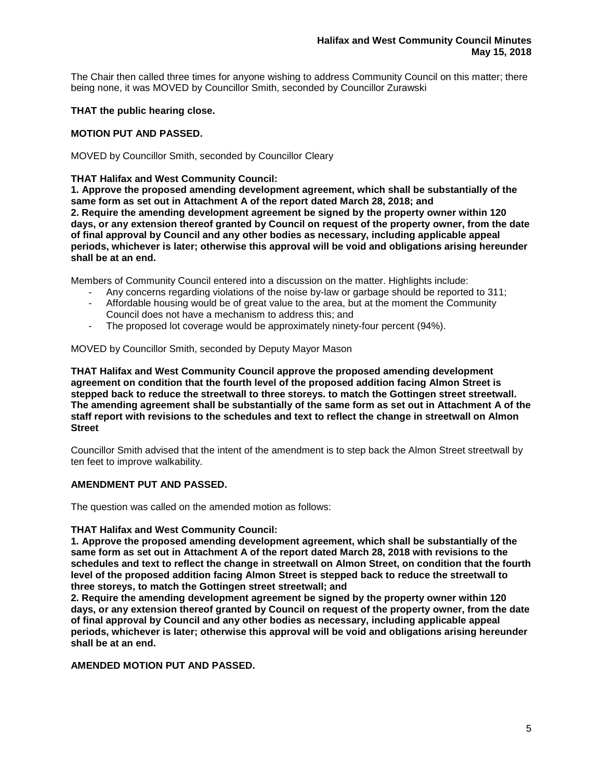The Chair then called three times for anyone wishing to address Community Council on this matter; there being none, it was MOVED by Councillor Smith, seconded by Councillor Zurawski

### **THAT the public hearing close.**

### **MOTION PUT AND PASSED.**

MOVED by Councillor Smith, seconded by Councillor Cleary

### **THAT Halifax and West Community Council:**

**1. Approve the proposed amending development agreement, which shall be substantially of the same form as set out in Attachment A of the report dated March 28, 2018; and 2. Require the amending development agreement be signed by the property owner within 120 days, or any extension thereof granted by Council on request of the property owner, from the date of final approval by Council and any other bodies as necessary, including applicable appeal periods, whichever is later; otherwise this approval will be void and obligations arising hereunder shall be at an end.**

Members of Community Council entered into a discussion on the matter. Highlights include:

- Any concerns regarding violations of the noise by-law or garbage should be reported to 311;<br>- Affordable housing would be of great value to the area, but at the moment the Community
- Affordable housing would be of great value to the area, but at the moment the Community Council does not have a mechanism to address this; and
- The proposed lot coverage would be approximately ninety-four percent (94%).

MOVED by Councillor Smith, seconded by Deputy Mayor Mason

**THAT Halifax and West Community Council approve the proposed amending development agreement on condition that the fourth level of the proposed addition facing Almon Street is stepped back to reduce the streetwall to three storeys. to match the Gottingen street streetwall. The amending agreement shall be substantially of the same form as set out in Attachment A of the staff report with revisions to the schedules and text to reflect the change in streetwall on Almon Street**

Councillor Smith advised that the intent of the amendment is to step back the Almon Street streetwall by ten feet to improve walkability.

## **AMENDMENT PUT AND PASSED.**

The question was called on the amended motion as follows:

#### **THAT Halifax and West Community Council:**

**1. Approve the proposed amending development agreement, which shall be substantially of the same form as set out in Attachment A of the report dated March 28, 2018 with revisions to the schedules and text to reflect the change in streetwall on Almon Street, on condition that the fourth level of the proposed addition facing Almon Street is stepped back to reduce the streetwall to three storeys, to match the Gottingen street streetwall; and**

**2. Require the amending development agreement be signed by the property owner within 120 days, or any extension thereof granted by Council on request of the property owner, from the date of final approval by Council and any other bodies as necessary, including applicable appeal periods, whichever is later; otherwise this approval will be void and obligations arising hereunder shall be at an end.**

### **AMENDED MOTION PUT AND PASSED.**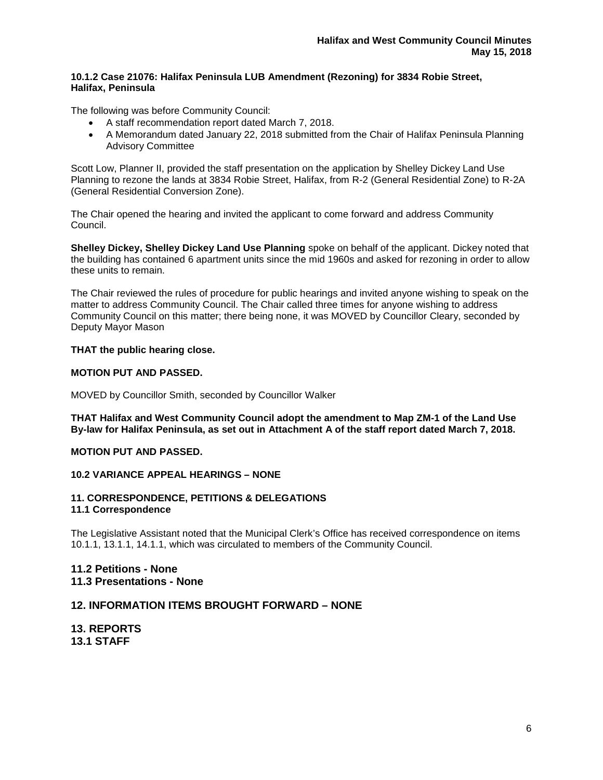### **10.1.2 Case 21076: Halifax Peninsula LUB Amendment (Rezoning) for 3834 Robie Street, Halifax, Peninsula**

The following was before Community Council:

- A staff recommendation report dated March 7, 2018.
- A Memorandum dated January 22, 2018 submitted from the Chair of Halifax Peninsula Planning Advisory Committee

Scott Low, Planner II, provided the staff presentation on the application by Shelley Dickey Land Use Planning to rezone the lands at 3834 Robie Street, Halifax, from R-2 (General Residential Zone) to R-2A (General Residential Conversion Zone).

The Chair opened the hearing and invited the applicant to come forward and address Community Council.

**Shelley Dickey, Shelley Dickey Land Use Planning** spoke on behalf of the applicant. Dickey noted that the building has contained 6 apartment units since the mid 1960s and asked for rezoning in order to allow these units to remain.

The Chair reviewed the rules of procedure for public hearings and invited anyone wishing to speak on the matter to address Community Council. The Chair called three times for anyone wishing to address Community Council on this matter; there being none, it was MOVED by Councillor Cleary, seconded by Deputy Mayor Mason

## **THAT the public hearing close.**

### **MOTION PUT AND PASSED.**

MOVED by Councillor Smith, seconded by Councillor Walker

**THAT Halifax and West Community Council adopt the amendment to Map ZM-1 of the Land Use By-law for Halifax Peninsula, as set out in Attachment A of the staff report dated March 7, 2018.**

# **MOTION PUT AND PASSED.**

## **10.2 VARIANCE APPEAL HEARINGS – NONE**

#### **11. CORRESPONDENCE, PETITIONS & DELEGATIONS 11.1 Correspondence**

The Legislative Assistant noted that the Municipal Clerk's Office has received correspondence on items 10.1.1, 13.1.1, 14.1.1, which was circulated to members of the Community Council.

## **11.2 Petitions - None 11.3 Presentations - None**

## **12. INFORMATION ITEMS BROUGHT FORWARD – NONE**

**13. REPORTS 13.1 STAFF**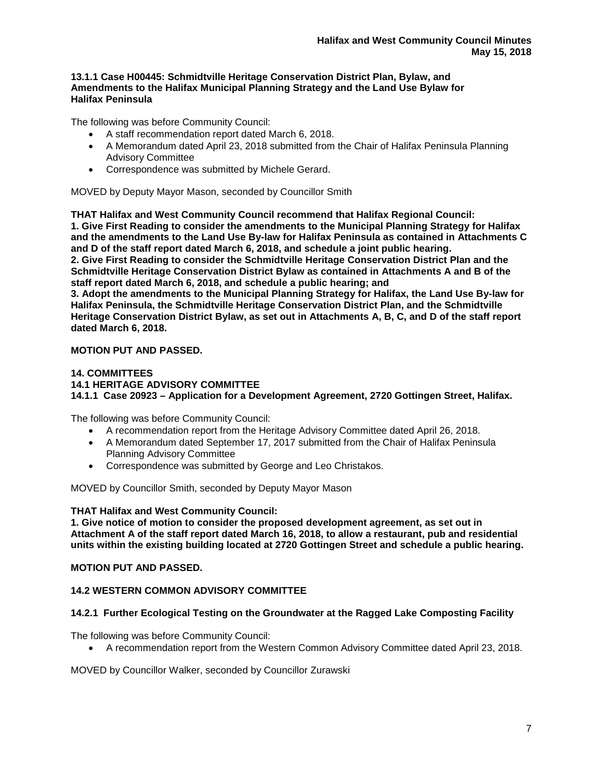#### **13.1.1 Case H00445: Schmidtville Heritage Conservation District Plan, Bylaw, and Amendments to the Halifax Municipal Planning Strategy and the Land Use Bylaw for Halifax Peninsula**

The following was before Community Council:

- A staff recommendation report dated March 6, 2018.
- A Memorandum dated April 23, 2018 submitted from the Chair of Halifax Peninsula Planning Advisory Committee
- Correspondence was submitted by Michele Gerard.

MOVED by Deputy Mayor Mason, seconded by Councillor Smith

**THAT Halifax and West Community Council recommend that Halifax Regional Council: 1. Give First Reading to consider the amendments to the Municipal Planning Strategy for Halifax and the amendments to the Land Use By-law for Halifax Peninsula as contained in Attachments C and D of the staff report dated March 6, 2018, and schedule a joint public hearing. 2. Give First Reading to consider the Schmidtville Heritage Conservation District Plan and the Schmidtville Heritage Conservation District Bylaw as contained in Attachments A and B of the staff report dated March 6, 2018, and schedule a public hearing; and**

**3. Adopt the amendments to the Municipal Planning Strategy for Halifax, the Land Use By-law for Halifax Peninsula, the Schmidtville Heritage Conservation District Plan, and the Schmidtville Heritage Conservation District Bylaw, as set out in Attachments A, B, C, and D of the staff report dated March 6, 2018.**

## **MOTION PUT AND PASSED.**

### **14. COMMITTEES 14.1 HERITAGE ADVISORY COMMITTEE 14.1.1 Case 20923 – Application for a Development Agreement, 2720 Gottingen Street, Halifax.**

The following was before Community Council:

- A recommendation report from the Heritage Advisory Committee dated April 26, 2018.
- A Memorandum dated September 17, 2017 submitted from the Chair of Halifax Peninsula Planning Advisory Committee
- Correspondence was submitted by George and Leo Christakos.

MOVED by Councillor Smith, seconded by Deputy Mayor Mason

## **THAT Halifax and West Community Council:**

**1. Give notice of motion to consider the proposed development agreement, as set out in Attachment A of the staff report dated March 16, 2018, to allow a restaurant, pub and residential units within the existing building located at 2720 Gottingen Street and schedule a public hearing.**

## **MOTION PUT AND PASSED.**

## **14.2 WESTERN COMMON ADVISORY COMMITTEE**

## **14.2.1 Further Ecological Testing on the Groundwater at the Ragged Lake Composting Facility**

The following was before Community Council:

• A recommendation report from the Western Common Advisory Committee dated April 23, 2018.

MOVED by Councillor Walker, seconded by Councillor Zurawski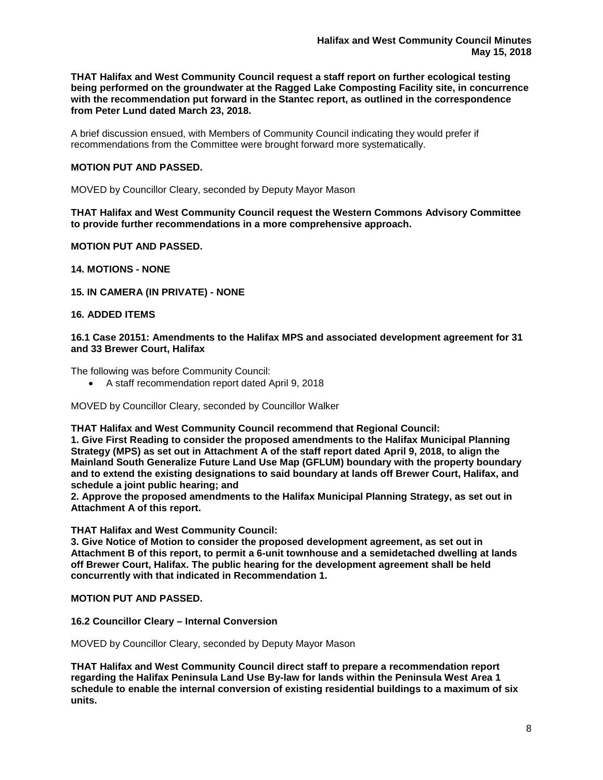**THAT Halifax and West Community Council request a staff report on further ecological testing being performed on the groundwater at the Ragged Lake Composting Facility site, in concurrence with the recommendation put forward in the Stantec report, as outlined in the correspondence from Peter Lund dated March 23, 2018.**

A brief discussion ensued, with Members of Community Council indicating they would prefer if recommendations from the Committee were brought forward more systematically.

#### **MOTION PUT AND PASSED.**

MOVED by Councillor Cleary, seconded by Deputy Mayor Mason

**THAT Halifax and West Community Council request the Western Commons Advisory Committee to provide further recommendations in a more comprehensive approach.**

**MOTION PUT AND PASSED.**

**14. MOTIONS - NONE**

## **15. IN CAMERA (IN PRIVATE) - NONE**

#### **16. ADDED ITEMS**

#### **16.1 Case 20151: Amendments to the Halifax MPS and associated development agreement for 31 and 33 Brewer Court, Halifax**

The following was before Community Council:

• A staff recommendation report dated April 9, 2018

MOVED by Councillor Cleary, seconded by Councillor Walker

**THAT Halifax and West Community Council recommend that Regional Council:**

**1. Give First Reading to consider the proposed amendments to the Halifax Municipal Planning Strategy (MPS) as set out in Attachment A of the staff report dated April 9, 2018, to align the Mainland South Generalize Future Land Use Map (GFLUM) boundary with the property boundary and to extend the existing designations to said boundary at lands off Brewer Court, Halifax, and schedule a joint public hearing; and**

**2. Approve the proposed amendments to the Halifax Municipal Planning Strategy, as set out in Attachment A of this report.**

#### **THAT Halifax and West Community Council:**

**3. Give Notice of Motion to consider the proposed development agreement, as set out in Attachment B of this report, to permit a 6-unit townhouse and a semidetached dwelling at lands off Brewer Court, Halifax. The public hearing for the development agreement shall be held concurrently with that indicated in Recommendation 1.**

#### **MOTION PUT AND PASSED.**

#### **16.2 Councillor Cleary – Internal Conversion**

MOVED by Councillor Cleary, seconded by Deputy Mayor Mason

**THAT Halifax and West Community Council direct staff to prepare a recommendation report regarding the Halifax Peninsula Land Use By-law for lands within the Peninsula West Area 1 schedule to enable the internal conversion of existing residential buildings to a maximum of six units.**